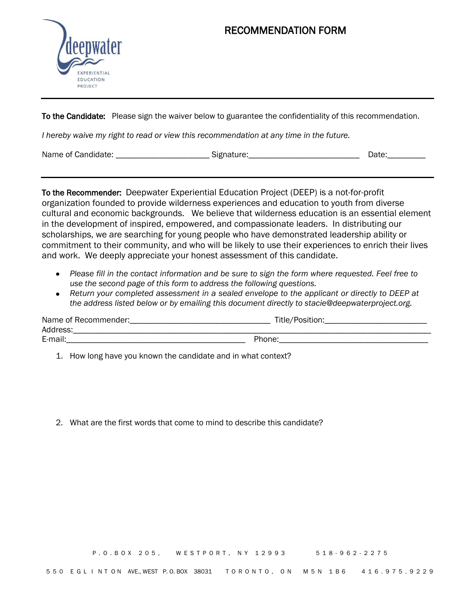

## RECOMMENDATION FORM

To the Candidate: Please sign the waiver below to guarantee the confidentiality of this recommendation.

*I hereby waive my right to read or view this recommendation at any time in the future.* 

Name of Candidate: etc. All and Signature: the Signature: the Canadian Date: the Candidate: the Signature: the Canadian Date: the Canadian Date: the Canadian Date: the Canadian Date: the Canadian Date: the Canadian Date: t

To the Recommender: Deepwater Experiential Education Project (DEEP) is a not-for-profit organization founded to provide wilderness experiences and education to youth from diverse cultural and economic backgrounds. We believe that wilderness education is an essential element in the development of inspired, empowered, and compassionate leaders. In distributing our scholarships, we are searching for young people who have demonstrated leadership ability or commitment to their community, and who will be likely to use their experiences to enrich their lives and work. We deeply appreciate your honest assessment of this candidate.

- *Please fill in the contact information and be sure to sign the form where requested. Feel free to use the second page of this form to address the following questions.*
- *Return your completed assessment in a sealed envelope to the applicant or directly to DEEP at the address listed below or by emailing this document directly to stacie@deepwaterproject.org.*

| Name of Recommender: | Title/Position: |
|----------------------|-----------------|
| Address:             |                 |
| E-mail:              | Phone:          |

1. How long have you known the candidate and in what context?

2. What are the first words that come to mind to describe this candidate?

P.O.BOX 205, WESTPORT, NY 12993 518-962-2275

550 E G L I N T ON AVE., WEST P.O. BOX 38031 T O R O N T O , O N M 5 N 1 B 6 4 1 6 . 9 7 5 . 9 2 2 9